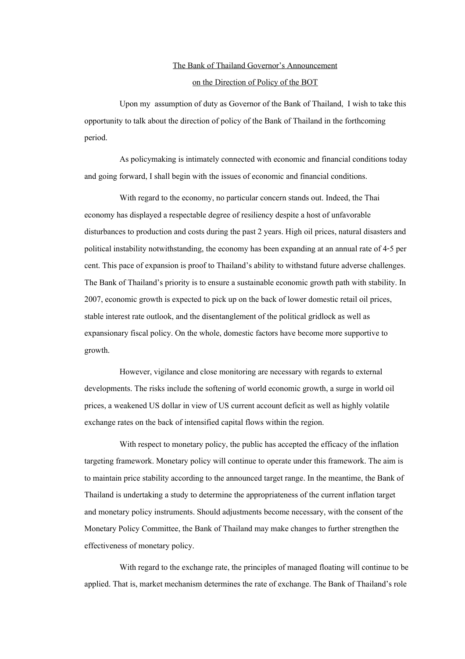## The Bank of Thailand Governor's Announcement

## on the Direction of Policy of the BOT

Upon my assumption of duty as Governor of the Bank of Thailand, I wish to take this opportunity to talk about the direction of policy of the Bank of Thailand in the forthcoming period.

As policymaking is intimately connected with economic and financial conditions today and going forward, I shall begin with the issues of economic and financial conditions.

With regard to the economy, no particular concern stands out. Indeed, the Thai economy has displayed a respectable degree of resiliency despite a host of unfavorable disturbances to production and costs during the past 2 years. High oil prices, natural disasters and political instability notwithstanding, the economy has been expanding at an annual rate of 4-5 per cent. This pace of expansion is proof to Thailand's ability to withstand future adverse challenges. The Bank of Thailand's priority is to ensure a sustainable economic growth path with stability. In 2007, economic growth is expected to pick up on the back of lower domestic retail oil prices, stable interest rate outlook, and the disentanglement of the political gridlock as well as expansionary fiscal policy. On the whole, domestic factors have become more supportive to growth.

However, vigilance and close monitoring are necessary with regards to external developments. The risks include the softening of world economic growth, a surge in world oil prices, a weakened US dollar in view of US current account deficit as well as highly volatile exchange rates on the back of intensified capital flows within the region.

With respect to monetary policy, the public has accepted the efficacy of the inflation targeting framework. Monetary policy will continue to operate under this framework. The aim is to maintain price stability according to the announced target range. In the meantime, the Bank of Thailand is undertaking a study to determine the appropriateness of the current inflation target and monetary policy instruments. Should adjustments become necessary, with the consent of the Monetary Policy Committee, the Bank of Thailand may make changes to further strengthen the effectiveness of monetary policy.

With regard to the exchange rate, the principles of managed floating will continue to be applied. That is, market mechanism determines the rate of exchange. The Bank of Thailand's role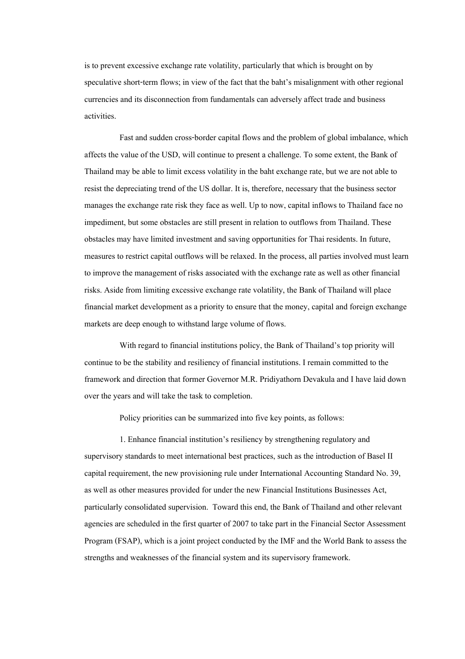is to prevent excessive exchange rate volatility, particularly that which is brought on by speculative short-term flows; in view of the fact that the baht's misalignment with other regional currencies and its disconnection from fundamentals can adversely affect trade and business activities.

Fast and sudden cross-border capital flows and the problem of global imbalance, which affects the value of the USD, will continue to present a challenge. To some extent, the Bank of Thailand may be able to limit excess volatility in the baht exchange rate, but we are not able to resist the depreciating trend of the US dollar. It is, therefore, necessary that the business sector manages the exchange rate risk they face as well. Up to now, capital inflows to Thailand face no impediment, but some obstacles are still present in relation to outflows from Thailand. These obstacles may have limited investment and saving opportunities for Thai residents. In future, measures to restrict capital outflows will be relaxed. In the process, all parties involved must learn to improve the management of risks associated with the exchange rate as well as other financial risks. Aside from limiting excessive exchange rate volatility, the Bank of Thailand will place financial market development as a priority to ensure that the money, capital and foreign exchange markets are deep enough to withstand large volume of flows.

With regard to financial institutions policy, the Bank of Thailand's top priority will continue to be the stability and resiliency of financial institutions. I remain committed to the framework and direction that former Governor M.R. Pridiyathorn Devakula and I have laid down over the years and will take the task to completion.

Policy priorities can be summarized into five key points, as follows:

1. Enhance financial institution's resiliency by strengthening regulatory and supervisory standards to meet international best practices, such as the introduction of Basel II capital requirement, the new provisioning rule under International Accounting Standard No. 39, as well as other measures provided for under the new Financial Institutions Businesses Act, particularly consolidated supervision. Toward this end, the Bank of Thailand and other relevant agencies are scheduled in the first quarter of 2007 to take part in the Financial Sector Assessment Program (FSAP), which is a joint project conducted by the IMF and the World Bank to assess the strengths and weaknesses of the financial system and its supervisory framework.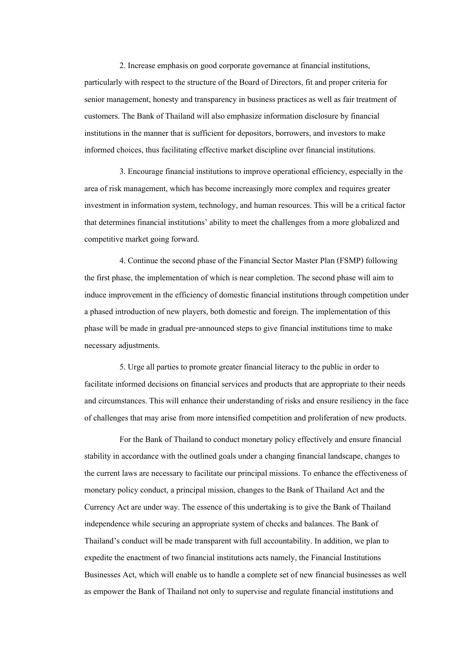2. Increase emphasis on good corporate governance at financial institutions, particularly with respect to the structure of the Board of Directors, fit and proper criteria for senior management, honesty and transparency in business practices as well as fair treatment of customers. The Bank of Thailand will also emphasize information disclosure by financial institutions in the manner that is sufficient for depositors, borrowers, and investors to make informed choices, thus facilitating effective market discipline over financial institutions.

3. Encourage financial institutions to improve operational efficiency, especially in the area of risk management, which has become increasingly more complex and requires greater investment in information system, technology, and human resources. This will be a critical factor that determines financial institutions' ability to meet the challenges from a more globalized and competitive market going forward.

4. Continue the second phase of the Financial Sector Master Plan (FSMP) following the first phase, the implementation of which is near completion. The second phase will aim to induce improvement in the efficiency of domestic financial institutions through competition under a phased introduction of new players, both domestic and foreign. The implementation of this phase will be made in gradual pre-announced steps to give financial institutions time to make necessary adjustments.

5. Urge all parties to promote greater financial literacy to the public in order to facilitate informed decisions on financial services and products that are appropriate to their needs and circumstances. This will enhance their understanding of risks and ensure resiliency in the face of challenges that may arise from more intensified competition and proliferation of new products.

For the Bank of Thailand to conduct monetary policy effectively and ensure financial stability in accordance with the outlined goals under a changing financial landscape, changes to the current laws are necessary to facilitate our principal missions. To enhance the effectiveness of monetary policy conduct, a principal mission, changes to the Bank of Thailand Act and the Currency Act are under way. The essence of this undertaking is to give the Bank of Thailand independence while securing an appropriate system of checks and balances. The Bank of Thailand's conduct will be made transparent with full accountability. In addition, we plan to expedite the enactment of two financial institutions acts namely, the Financial Institutions Businesses Act, which will enable us to handle a complete set of new financial businesses as well as empower the Bank of Thailand not only to supervise and regulate financial institutions and